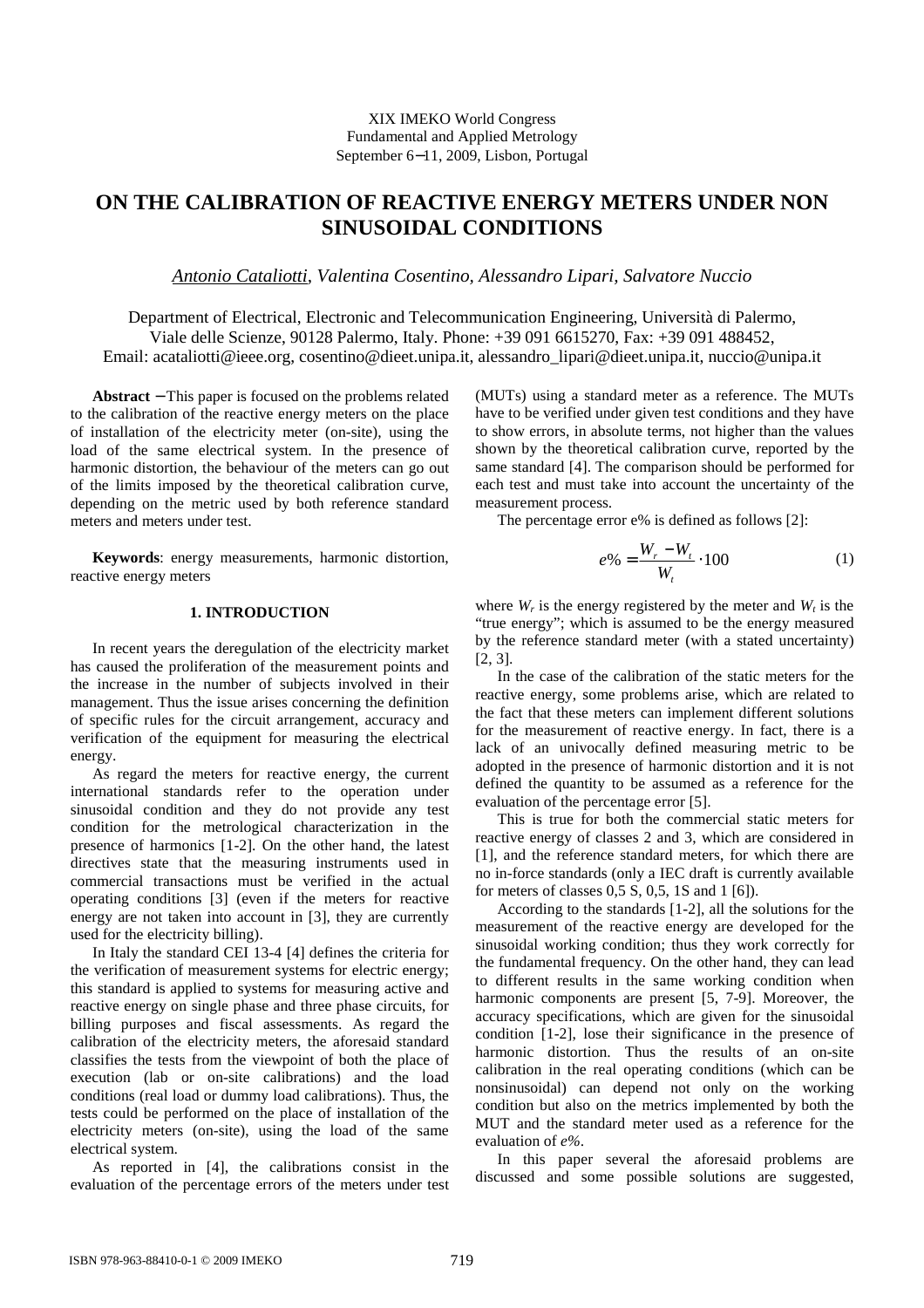# **ON THE CALIBRATION OF REACTIVE ENERGY METERS UNDER NON SINUSOIDAL CONDITIONS**

*Antonio Cataliotti, Valentina Cosentino, Alessandro Lipari, Salvatore Nuccio* 

Department of Electrical, Electronic and Telecommunication Engineering, Università di Palermo, Viale delle Scienze, 90128 Palermo, Italy. Phone: +39 091 6615270, Fax: +39 091 488452, Email: acataliotti@ieee.org, cosentino@dieet.unipa.it, alessandro\_lipari@dieet.unipa.it, nuccio@unipa.it

**Abstract** − This paper is focused on the problems related to the calibration of the reactive energy meters on the place of installation of the electricity meter (on-site), using the load of the same electrical system. In the presence of harmonic distortion, the behaviour of the meters can go out of the limits imposed by the theoretical calibration curve, depending on the metric used by both reference standard meters and meters under test.

**Keywords**: energy measurements, harmonic distortion, reactive energy meters

### **1. INTRODUCTION**

In recent years the deregulation of the electricity market has caused the proliferation of the measurement points and the increase in the number of subjects involved in their management. Thus the issue arises concerning the definition of specific rules for the circuit arrangement, accuracy and verification of the equipment for measuring the electrical energy.

As regard the meters for reactive energy, the current international standards refer to the operation under sinusoidal condition and they do not provide any test condition for the metrological characterization in the presence of harmonics [1-2]. On the other hand, the latest directives state that the measuring instruments used in commercial transactions must be verified in the actual operating conditions [3] (even if the meters for reactive energy are not taken into account in [3], they are currently used for the electricity billing).

In Italy the standard CEI 13-4 [4] defines the criteria for the verification of measurement systems for electric energy; this standard is applied to systems for measuring active and reactive energy on single phase and three phase circuits, for billing purposes and fiscal assessments. As regard the calibration of the electricity meters, the aforesaid standard classifies the tests from the viewpoint of both the place of execution (lab or on-site calibrations) and the load conditions (real load or dummy load calibrations). Thus, the tests could be performed on the place of installation of the electricity meters (on-site), using the load of the same electrical system.

As reported in [4], the calibrations consist in the evaluation of the percentage errors of the meters under test (MUTs) using a standard meter as a reference. The MUTs have to be verified under given test conditions and they have to show errors, in absolute terms, not higher than the values shown by the theoretical calibration curve, reported by the same standard [4]. The comparison should be performed for each test and must take into account the uncertainty of the measurement process.

The percentage error e% is defined as follows [2]:

$$
e\% = \frac{W_r - W_t}{W_t} \cdot 100\tag{1}
$$

where  $W_r$  is the energy registered by the meter and  $W_t$  is the "true energy"; which is assumed to be the energy measured by the reference standard meter (with a stated uncertainty) [2, 3].

In the case of the calibration of the static meters for the reactive energy, some problems arise, which are related to the fact that these meters can implement different solutions for the measurement of reactive energy. In fact, there is a lack of an univocally defined measuring metric to be adopted in the presence of harmonic distortion and it is not defined the quantity to be assumed as a reference for the evaluation of the percentage error [5].

This is true for both the commercial static meters for reactive energy of classes 2 and 3, which are considered in [1], and the reference standard meters, for which there are no in-force standards (only a IEC draft is currently available for meters of classes 0,5 S, 0,5, 1S and 1 [6]).

According to the standards [1-2], all the solutions for the measurement of the reactive energy are developed for the sinusoidal working condition; thus they work correctly for the fundamental frequency. On the other hand, they can lead to different results in the same working condition when harmonic components are present [5, 7-9]. Moreover, the accuracy specifications, which are given for the sinusoidal condition [1-2], lose their significance in the presence of harmonic distortion. Thus the results of an on-site calibration in the real operating conditions (which can be nonsinusoidal) can depend not only on the working condition but also on the metrics implemented by both the MUT and the standard meter used as a reference for the evaluation of *e%*.

In this paper several the aforesaid problems are discussed and some possible solutions are suggested,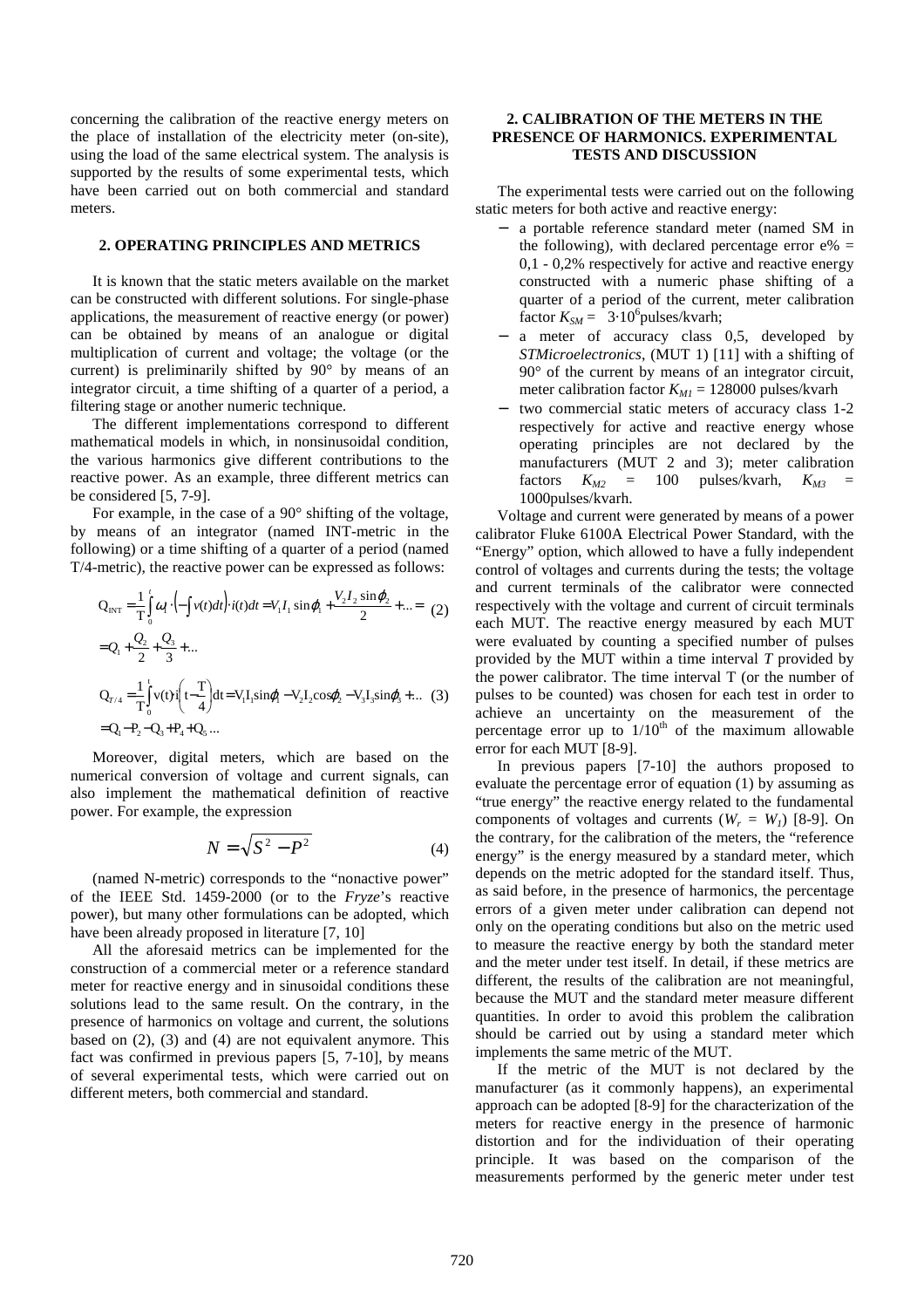concerning the calibration of the reactive energy meters on the place of installation of the electricity meter (on-site), using the load of the same electrical system. The analysis is supported by the results of some experimental tests, which have been carried out on both commercial and standard meters.

#### **2. OPERATING PRINCIPLES AND METRICS**

It is known that the static meters available on the market can be constructed with different solutions. For single-phase applications, the measurement of reactive energy (or power) can be obtained by means of an analogue or digital multiplication of current and voltage; the voltage (or the current) is preliminarily shifted by 90° by means of an integrator circuit, a time shifting of a quarter of a period, a filtering stage or another numeric technique.

The different implementations correspond to different mathematical models in which, in nonsinusoidal condition, the various harmonics give different contributions to the reactive power. As an example, three different metrics can be considered [5, 7-9].

For example, in the case of a 90° shifting of the voltage, by means of an integrator (named INT-metric in the following) or a time shifting of a quarter of a period (named T/4-metric), the reactive power can be expressed as follows:

$$
Q_{INT} = \frac{1}{T} \int_{0}^{t} \omega_{1} \cdot \left(-\int v(t)dt\right) \cdot i(t)dt = V_{1}I_{1} \sin \varphi_{1} + \frac{V_{2}I_{2} \sin \varphi_{2}}{2} + \dots = (2)
$$
  
\n
$$
= Q_{1} + \frac{Q_{2}}{2} + \frac{Q_{3}}{3} + \dots
$$
  
\n
$$
Q_{T/4} = \frac{1}{T} \int_{0}^{t} v(t) \cdot i\left(t - \frac{T}{4}\right) dt = V_{1}I_{1} \sin \varphi_{1} - V_{2}I_{2} \cos \varphi_{2} - V_{3}I_{3} \sin \varphi_{3} + \dots
$$
 (3)  
\n
$$
= Q_{1} - P_{2} - Q_{3} + P_{4} + Q_{5} \dots
$$

Moreover, digital meters, which are based on the numerical conversion of voltage and current signals, can also implement the mathematical definition of reactive power. For example, the expression

$$
N = \sqrt{S^2 - P^2} \tag{4}
$$

(named N-metric) corresponds to the "nonactive power" of the IEEE Std. 1459-2000 (or to the *Fryze*'s reactive power), but many other formulations can be adopted, which have been already proposed in literature [7, 10]

All the aforesaid metrics can be implemented for the construction of a commercial meter or a reference standard meter for reactive energy and in sinusoidal conditions these solutions lead to the same result. On the contrary, in the presence of harmonics on voltage and current, the solutions based on (2), (3) and (4) are not equivalent anymore. This fact was confirmed in previous papers [5, 7-10], by means of several experimental tests, which were carried out on different meters, both commercial and standard.

# **2. CALIBRATION OF THE METERS IN THE PRESENCE OF HARMONICS. EXPERIMENTAL TESTS AND DISCUSSION**

The experimental tests were carried out on the following static meters for both active and reactive energy:

- − a portable reference standard meter (named SM in the following), with declared percentage error  $e\%$  = 0,1 - 0,2% respectively for active and reactive energy constructed with a numeric phase shifting of a quarter of a period of the current, meter calibration factor  $K_{SM} = 3.10^6$  pulses/kvarh;
- a meter of accuracy class 0,5, developed by *STMicroelectronics*, (MUT 1) [11] with a shifting of 90° of the current by means of an integrator circuit, meter calibration factor *KM1* = 128000 pulses/kvarh
- two commercial static meters of accuracy class 1-2 respectively for active and reactive energy whose operating principles are not declared by the manufacturers (MUT 2 and 3); meter calibration factors  $K_{M2} = 100$  pulses/kvarh,  $K_{M3} =$ 1000pulses/kvarh.

Voltage and current were generated by means of a power calibrator Fluke 6100A Electrical Power Standard, with the "Energy" option, which allowed to have a fully independent control of voltages and currents during the tests; the voltage and current terminals of the calibrator were connected respectively with the voltage and current of circuit terminals each MUT. The reactive energy measured by each MUT were evaluated by counting a specified number of pulses provided by the MUT within a time interval *T* provided by the power calibrator. The time interval T (or the number of pulses to be counted) was chosen for each test in order to achieve an uncertainty on the measurement of the percentage error up to  $1/10<sup>th</sup>$  of the maximum allowable error for each MUT [8-9].

In previous papers [7-10] the authors proposed to evaluate the percentage error of equation (1) by assuming as "true energy" the reactive energy related to the fundamental components of voltages and currents  $(W_r = W_l)$  [8-9]. On the contrary, for the calibration of the meters, the "reference energy" is the energy measured by a standard meter, which depends on the metric adopted for the standard itself. Thus, as said before, in the presence of harmonics, the percentage errors of a given meter under calibration can depend not only on the operating conditions but also on the metric used to measure the reactive energy by both the standard meter and the meter under test itself. In detail, if these metrics are different, the results of the calibration are not meaningful, because the MUT and the standard meter measure different quantities. In order to avoid this problem the calibration should be carried out by using a standard meter which implements the same metric of the MUT.

If the metric of the MUT is not declared by the manufacturer (as it commonly happens), an experimental approach can be adopted [8-9] for the characterization of the meters for reactive energy in the presence of harmonic distortion and for the individuation of their operating principle. It was based on the comparison of the measurements performed by the generic meter under test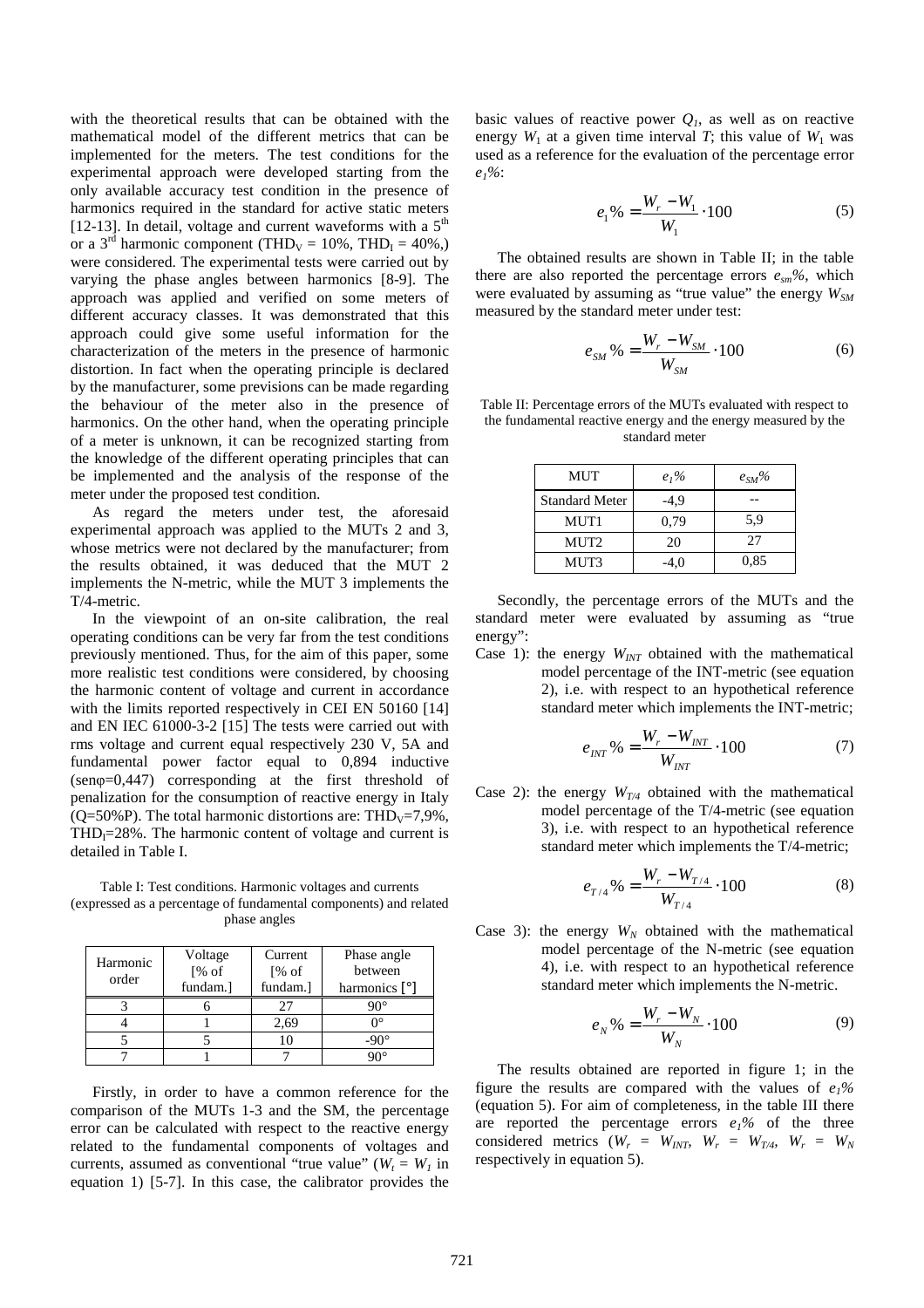with the theoretical results that can be obtained with the mathematical model of the different metrics that can be implemented for the meters. The test conditions for the experimental approach were developed starting from the only available accuracy test condition in the presence of harmonics required in the standard for active static meters [12-13]. In detail, voltage and current waveforms with a  $5<sup>th</sup>$ or a 3<sup>rd</sup> harmonic component (THD<sub>V</sub> = 10%, THD<sub>I</sub> = 40%,) were considered. The experimental tests were carried out by varying the phase angles between harmonics [8-9]. The approach was applied and verified on some meters of different accuracy classes. It was demonstrated that this approach could give some useful information for the characterization of the meters in the presence of harmonic distortion. In fact when the operating principle is declared by the manufacturer, some previsions can be made regarding the behaviour of the meter also in the presence of harmonics. On the other hand, when the operating principle of a meter is unknown, it can be recognized starting from the knowledge of the different operating principles that can be implemented and the analysis of the response of the meter under the proposed test condition.

As regard the meters under test, the aforesaid experimental approach was applied to the MUTs 2 and 3, whose metrics were not declared by the manufacturer; from the results obtained, it was deduced that the MUT 2 implements the N-metric, while the MUT 3 implements the T/4-metric.

In the viewpoint of an on-site calibration, the real operating conditions can be very far from the test conditions previously mentioned. Thus, for the aim of this paper, some more realistic test conditions were considered, by choosing the harmonic content of voltage and current in accordance with the limits reported respectively in CEI EN 50160 [14] and EN IEC 61000-3-2 [15] The tests were carried out with rms voltage and current equal respectively 230 V, 5A and fundamental power factor equal to 0,894 inductive (senφ=0,447) corresponding at the first threshold of penalization for the consumption of reactive energy in Italy ( $Q=50\%$ P). The total harmonic distortions are: THD<sub>V</sub>=7,9%,  $THD<sub>I</sub>=28%$ . The harmonic content of voltage and current is detailed in Table I.

Table I: Test conditions. Harmonic voltages and currents (expressed as a percentage of fundamental components) and related phase angles

| Harmonic<br>order | Voltage  | Current  | Phase angle   |
|-------------------|----------|----------|---------------|
|                   | [% of]   | [% of]   | between       |
|                   | fundam.] | fundam.] | harmonics [°] |
|                   |          |          |               |
|                   |          | 2,69     |               |
|                   |          |          |               |
|                   |          |          |               |

Firstly, in order to have a common reference for the comparison of the MUTs 1-3 and the SM, the percentage error can be calculated with respect to the reactive energy related to the fundamental components of voltages and currents, assumed as conventional "true value" ( $W_t = W_l$  in equation 1) [5-7]. In this case, the calibrator provides the

basic values of reactive power  $Q<sub>l</sub>$ , as well as on reactive energy  $W_1$  at a given time interval *T*; this value of  $W_1$  was used as a reference for the evaluation of the percentage error *e1%*:

$$
e_1\% = \frac{W_r - W_1}{W_1} \cdot 100\tag{5}
$$

The obtained results are shown in Table II; in the table there are also reported the percentage errors  $e_{sm}$ %, which were evaluated by assuming as "true value" the energy *WSM* measured by the standard meter under test:

$$
e_{SM} \% = \frac{W_r - W_{SM}}{W_{SM}} \cdot 100 \tag{6}
$$

Table II: Percentage errors of the MUTs evaluated with respect to the fundamental reactive energy and the energy measured by the standard meter

| MUT                   | $e_1%$ | $e_{SM}$ % |
|-----------------------|--------|------------|
| <b>Standard Meter</b> | -4.9   |            |
| MUT1                  | 0,79   | 5.9        |
| MUT2                  | 20     | 27         |
| MUT3                  | -4.0   | 0,85       |

Secondly, the percentage errors of the MUTs and the standard meter were evaluated by assuming as "true energy":

Case 1): the energy  $W_{INT}$  obtained with the mathematical model percentage of the INT-metric (see equation 2), i.e. with respect to an hypothetical reference standard meter which implements the INT-metric;

$$
e_{INT} \% = \frac{W_r - W_{INT}}{W_{INT}} \cdot 100 \tag{7}
$$

Case 2): the energy  $W_{T/4}$  obtained with the mathematical model percentage of the T/4-metric (see equation 3), i.e. with respect to an hypothetical reference standard meter which implements the T/4-metric;

$$
e_{T/4}\% = \frac{W_r - W_{T/4}}{W_{T/4}} \cdot 100\tag{8}
$$

Case 3): the energy  $W_N$  obtained with the mathematical model percentage of the N-metric (see equation 4), i.e. with respect to an hypothetical reference standard meter which implements the N-metric.

$$
e_N \, \% = \frac{W_r - W_N}{W_N} \cdot 100 \tag{9}
$$

The results obtained are reported in figure 1; in the figure the results are compared with the values of  $e_1\%$ (equation 5). For aim of completeness, in the table III there are reported the percentage errors  $e_1\%$  of the three considered metrics  $(W_r = W_{INT}, W_r = W_{T/4}, W_r = W_N)$ respectively in equation 5).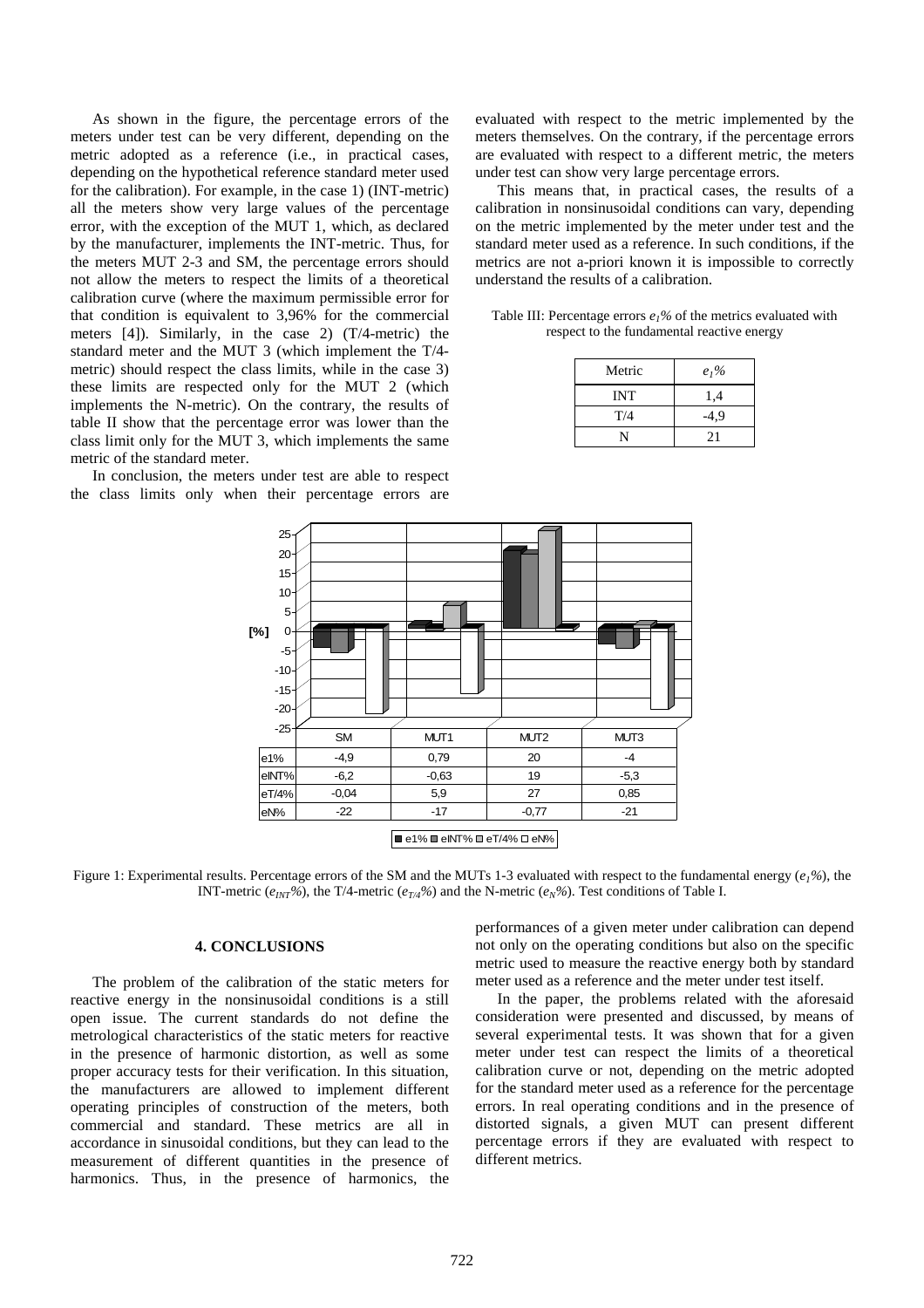As shown in the figure, the percentage errors of the meters under test can be very different, depending on the metric adopted as a reference (i.e., in practical cases, depending on the hypothetical reference standard meter used for the calibration). For example, in the case 1) (INT-metric) all the meters show very large values of the percentage error, with the exception of the MUT 1, which, as declared by the manufacturer, implements the INT-metric. Thus, for the meters MUT 2-3 and SM, the percentage errors should not allow the meters to respect the limits of a theoretical calibration curve (where the maximum permissible error for that condition is equivalent to 3,96% for the commercial meters [4]). Similarly, in the case 2) (T/4-metric) the standard meter and the MUT 3 (which implement the T/4 metric) should respect the class limits, while in the case 3) these limits are respected only for the MUT 2 (which implements the N-metric). On the contrary, the results of table II show that the percentage error was lower than the class limit only for the MUT 3, which implements the same metric of the standard meter.

In conclusion, the meters under test are able to respect the class limits only when their percentage errors are evaluated with respect to the metric implemented by the meters themselves. On the contrary, if the percentage errors are evaluated with respect to a different metric, the meters under test can show very large percentage errors.

This means that, in practical cases, the results of a calibration in nonsinusoidal conditions can vary, depending on the metric implemented by the meter under test and the standard meter used as a reference. In such conditions, if the metrics are not a-priori known it is impossible to correctly understand the results of a calibration.

Table III: Percentage errors  $e_1\%$  of the metrics evaluated with respect to the fundamental reactive energy

| Metric     | $e_1%$ |
|------------|--------|
| <b>INT</b> | 1,4    |
| T/4        | -4,9   |
|            | 21     |



Figure 1: Experimental results. Percentage errors of the SM and the MUTs 1-3 evaluated with respect to the fundamental energy (*e1%*), the INT-metric ( $e_{INT}$ %), the T/4-metric ( $e_{TA}$ %) and the N-metric ( $e_N$ %). Test conditions of Table I.

# **4. CONCLUSIONS**

The problem of the calibration of the static meters for reactive energy in the nonsinusoidal conditions is a still open issue. The current standards do not define the metrological characteristics of the static meters for reactive in the presence of harmonic distortion, as well as some proper accuracy tests for their verification. In this situation, the manufacturers are allowed to implement different operating principles of construction of the meters, both commercial and standard. These metrics are all in accordance in sinusoidal conditions, but they can lead to the measurement of different quantities in the presence of harmonics. Thus, in the presence of harmonics, the performances of a given meter under calibration can depend not only on the operating conditions but also on the specific metric used to measure the reactive energy both by standard meter used as a reference and the meter under test itself.

In the paper, the problems related with the aforesaid consideration were presented and discussed, by means of several experimental tests. It was shown that for a given meter under test can respect the limits of a theoretical calibration curve or not, depending on the metric adopted for the standard meter used as a reference for the percentage errors. In real operating conditions and in the presence of distorted signals, a given MUT can present different percentage errors if they are evaluated with respect to different metrics.